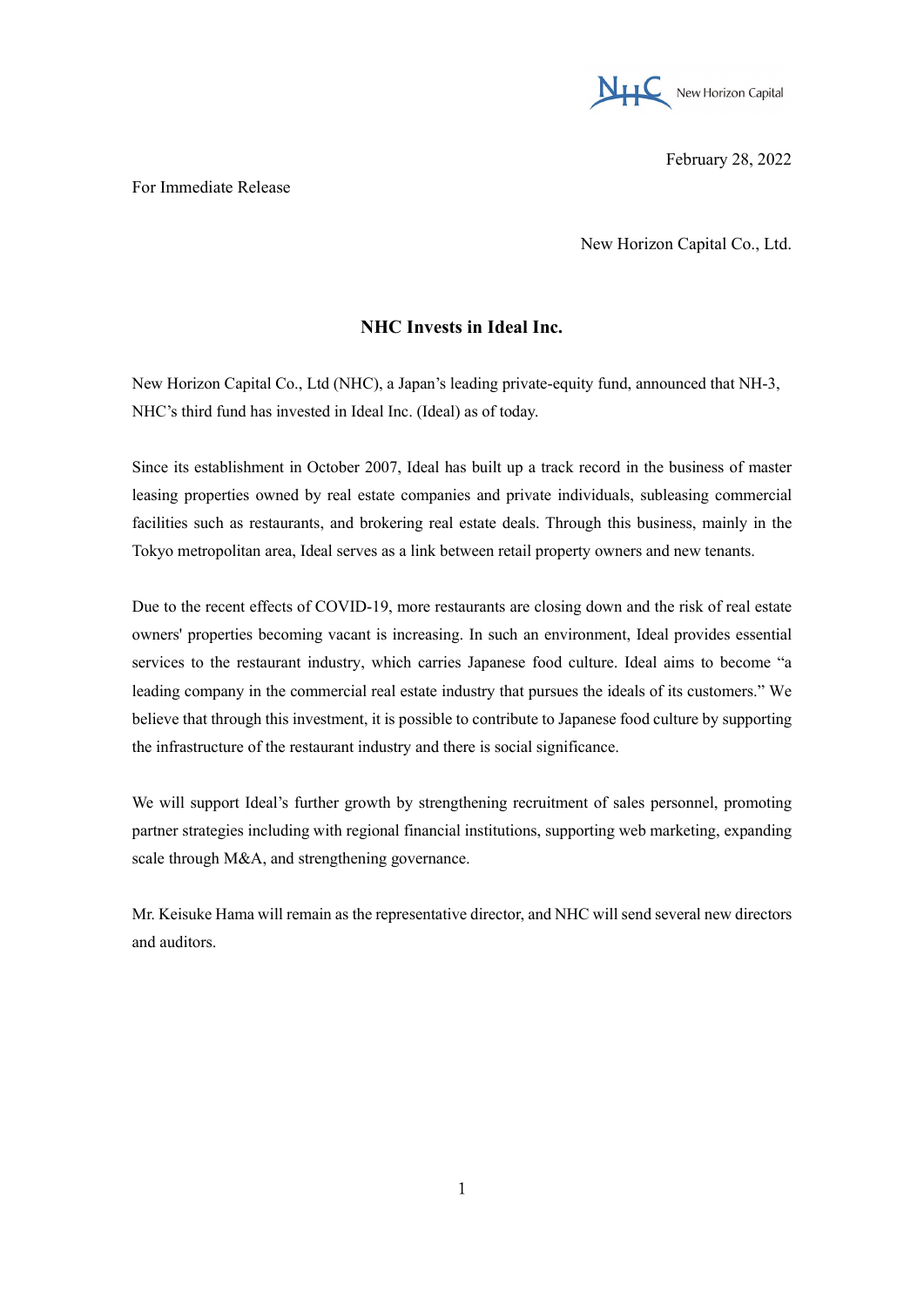

February 28, 2022

For Immediate Release

New Horizon Capital Co., Ltd.

## **NHC Invests in Ideal Inc.**

New Horizon Capital Co., Ltd (NHC), a Japan's leading private-equity fund, announced that NH-3, NHC's third fund has invested in Ideal Inc. (Ideal) as of today.

Since its establishment in October 2007, Ideal has built up a track record in the business of master leasing properties owned by real estate companies and private individuals, subleasing commercial facilities such as restaurants, and brokering real estate deals. Through this business, mainly in the Tokyo metropolitan area, Ideal serves as a link between retail property owners and new tenants.

Due to the recent effects of COVID-19, more restaurants are closing down and the risk of real estate owners' properties becoming vacant is increasing. In such an environment, Ideal provides essential services to the restaurant industry, which carries Japanese food culture. Ideal aims to become "a leading company in the commercial real estate industry that pursues the ideals of its customers." We believe that through this investment, it is possible to contribute to Japanese food culture by supporting the infrastructure of the restaurant industry and there is social significance.

We will support Ideal's further growth by strengthening recruitment of sales personnel, promoting partner strategies including with regional financial institutions, supporting web marketing, expanding scale through M&A, and strengthening governance.

Mr. Keisuke Hama will remain as the representative director, and NHC will send several new directors and auditors.